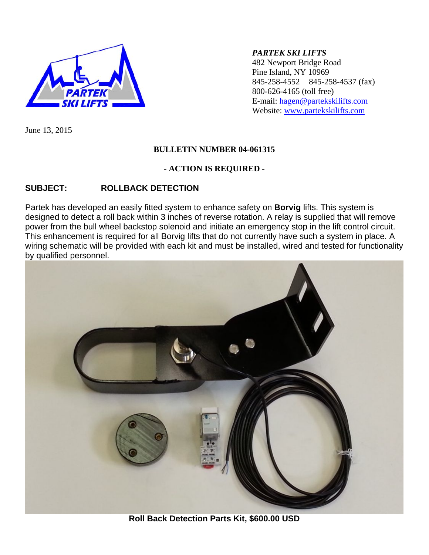

### *PARTEK SKI LIFTS*

482 Newport Bridge Road Pine Island, NY 10969 845-258-4552 845-258-4537 (fax) 800-626-4165 (toll free) E-mail: [hagen@partekskilifts.com](mailto:hagen@partekskilifts.com) Website: [www.partekskilifts.com](http://www.partekskilifts.com/)

June 13, 2015

### **BULLETIN NUMBER 04-061315**

### **- ACTION IS REQUIRED -**

## **SUBJECT: ROLLBACK DETECTION**

Partek has developed an easily fitted system to enhance safety on **Borvig** lifts. This system is designed to detect a roll back within 3 inches of reverse rotation. A relay is supplied that will remove power from the bull wheel backstop solenoid and initiate an emergency stop in the lift control circuit. This enhancement is required for all Borvig lifts that do not currently have such a system in place. A wiring schematic will be provided with each kit and must be installed, wired and tested for functionality by qualified personnel.



**Roll Back Detection Parts Kit, \$600.00 USD**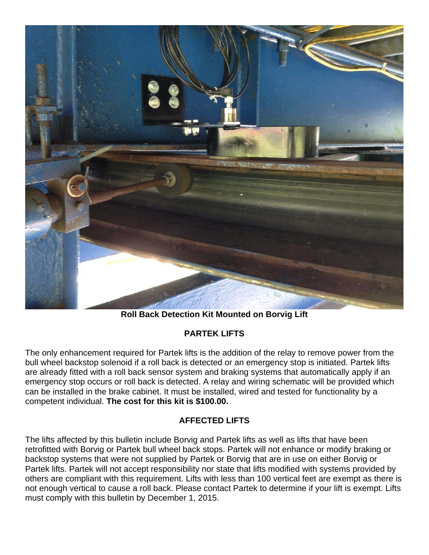

**Roll Back Detection Kit Mounted on Borvig Lift** 

# **PARTEK LIFTS**

The only enhancement required for Partek lifts is the addition of the relay to remove power from the bull wheel backstop solenoid if a roll back is detected or an emergency stop is initiated. Partek lifts are already fitted with a roll back sensor system and braking systems that automatically apply if an emergency stop occurs or roll back is detected. A relay and wiring schematic will be provided which can be installed in the brake cabinet. It must be installed, wired and tested for functionality by a competent individual. **The cost for this kit is \$100.00.**

## **AFFECTED LIFTS**

The lifts affected by this bulletin include Borvig and Partek lifts as well as lifts that have been retrofitted with Borvig or Partek bull wheel back stops. Partek will not enhance or modify braking or backstop systems that were not supplied by Partek or Borvig that are in use on either Borvig or Partek lifts. Partek will not accept responsibility nor state that lifts modified with systems provided by others are compliant with this requirement. Lifts with less than 100 vertical feet are exempt as there is not enough vertical to cause a roll back. Please contact Partek to determine if your lift is exempt. Lifts must comply with this bulletin by December 1, 2015.